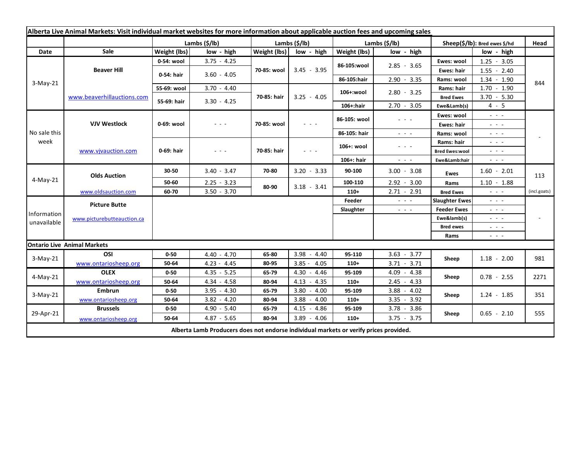| Alberta Live Animal Markets: Visit individual market websites for more information about applicable auction fees and upcoming sales |                                    |               |               |               |                                                                                                                                                                                                                                                                                                                                                                                                                                                |                       |                                                                                                                           |                                                                                                                                                                                   |                                                                                                                                                               |              |
|-------------------------------------------------------------------------------------------------------------------------------------|------------------------------------|---------------|---------------|---------------|------------------------------------------------------------------------------------------------------------------------------------------------------------------------------------------------------------------------------------------------------------------------------------------------------------------------------------------------------------------------------------------------------------------------------------------------|-----------------------|---------------------------------------------------------------------------------------------------------------------------|-----------------------------------------------------------------------------------------------------------------------------------------------------------------------------------|---------------------------------------------------------------------------------------------------------------------------------------------------------------|--------------|
|                                                                                                                                     |                                    | Lambs (\$/lb) |               | Lambs (\$/lb) |                                                                                                                                                                                                                                                                                                                                                                                                                                                | Lambs $(\frac{2}{3})$ |                                                                                                                           | Sheep(\$/lb): Bred ewes \$/hd                                                                                                                                                     |                                                                                                                                                               | Head         |
| Date                                                                                                                                | Sale                               | Weight (lbs)  | low - high    | Weight (lbs)  | low - high                                                                                                                                                                                                                                                                                                                                                                                                                                     | Weight (lbs)          | low - high                                                                                                                |                                                                                                                                                                                   | low - high                                                                                                                                                    |              |
| $3-May-21$                                                                                                                          | <b>Beaver Hill</b>                 | 0-54: wool    | $3.75 - 4.25$ | 70-85: wool   | $3.45 - 3.95$                                                                                                                                                                                                                                                                                                                                                                                                                                  | 86-105:wool           | $2.85 - 3.65$                                                                                                             | Ewes: wool                                                                                                                                                                        | $1.25 - 3.05$                                                                                                                                                 |              |
|                                                                                                                                     |                                    | 0-54: hair    | $3.60 - 4.05$ |               |                                                                                                                                                                                                                                                                                                                                                                                                                                                |                       |                                                                                                                           | Ewes: hair                                                                                                                                                                        | $1.55 - 2.40$                                                                                                                                                 |              |
|                                                                                                                                     |                                    |               |               |               |                                                                                                                                                                                                                                                                                                                                                                                                                                                | 86-105:hair           | $2.90 - 3.35$                                                                                                             | Rams: wool                                                                                                                                                                        | $1.34 - 1.90$                                                                                                                                                 | 844          |
|                                                                                                                                     | www.beaverhillauctions.com         | 55-69: wool   | $3.70 - 4.40$ | 70-85: hair   | $3.25 - 4.05$                                                                                                                                                                                                                                                                                                                                                                                                                                  | 106+:wool             | $2.80 - 3.25$                                                                                                             | Rams: hair                                                                                                                                                                        | $1.70 - 1.90$                                                                                                                                                 |              |
|                                                                                                                                     |                                    | 55-69: hair   | $3.30 - 4.25$ |               |                                                                                                                                                                                                                                                                                                                                                                                                                                                |                       |                                                                                                                           | <b>Bred Ewes</b>                                                                                                                                                                  | $3.70 - 5.30$                                                                                                                                                 |              |
|                                                                                                                                     |                                    |               |               |               |                                                                                                                                                                                                                                                                                                                                                                                                                                                | $106+$ :hair          | $2.70 - 3.05$                                                                                                             | Ewe&Lamb(s)                                                                                                                                                                       | $4 - 5$                                                                                                                                                       |              |
| No sale this<br>week                                                                                                                | <b>VJV Westlock</b>                | 0-69: wool    | - - -         | 70-85: wool   | $\frac{1}{2} \left( \frac{1}{2} \right) \frac{1}{2} \left( \frac{1}{2} \right) \frac{1}{2} \left( \frac{1}{2} \right)$                                                                                                                                                                                                                                                                                                                         | 86-105: wool          | $\frac{1}{2} \left( \frac{1}{2} \right) \left( \frac{1}{2} \right) \left( \frac{1}{2} \right) \left( \frac{1}{2} \right)$ | Ewes: wool                                                                                                                                                                        | $\omega_{\rm{c}}$ , $\omega_{\rm{c}}$ , $\omega_{\rm{c}}$                                                                                                     |              |
|                                                                                                                                     |                                    |               |               |               |                                                                                                                                                                                                                                                                                                                                                                                                                                                |                       |                                                                                                                           | Ewes: hair                                                                                                                                                                        | $\omega_{\rm{eff}}=0.1$                                                                                                                                       |              |
|                                                                                                                                     |                                    |               |               |               |                                                                                                                                                                                                                                                                                                                                                                                                                                                | 86-105: hair          | $\sim$ 100 $\sim$                                                                                                         | Rams: wool                                                                                                                                                                        | - - -                                                                                                                                                         |              |
|                                                                                                                                     | www.vjvauction.com                 | 0-69: hair    | $  -$         | 70-85: hair   | $\frac{1}{2} \left( \frac{1}{2} \right) + \frac{1}{2} \left( \frac{1}{2} \right) + \frac{1}{2} \left( \frac{1}{2} \right) + \frac{1}{2} \left( \frac{1}{2} \right) + \frac{1}{2} \left( \frac{1}{2} \right) + \frac{1}{2} \left( \frac{1}{2} \right) + \frac{1}{2} \left( \frac{1}{2} \right) + \frac{1}{2} \left( \frac{1}{2} \right) + \frac{1}{2} \left( \frac{1}{2} \right) + \frac{1}{2} \left( \frac{1}{2} \right) + \frac{1}{2} \left($ | 106+: wool            | $  -$                                                                                                                     | Rams: hair                                                                                                                                                                        | $  -$                                                                                                                                                         |              |
|                                                                                                                                     |                                    |               |               |               |                                                                                                                                                                                                                                                                                                                                                                                                                                                |                       |                                                                                                                           | <b>Bred Ewes:wool</b>                                                                                                                                                             | $  -$                                                                                                                                                         |              |
|                                                                                                                                     |                                    |               |               |               |                                                                                                                                                                                                                                                                                                                                                                                                                                                | $106+$ : hair         | $\frac{1}{2} \left( \frac{1}{2} \right) \left( \frac{1}{2} \right) \left( \frac{1}{2} \right) \left( \frac{1}{2} \right)$ | Ewe&Lamb:hair                                                                                                                                                                     | $\sim$ $ \sim$                                                                                                                                                |              |
| 4-May-21                                                                                                                            | <b>Olds Auction</b>                | 30-50         | $3.40 - 3.47$ | 70-80         | $3.20 - 3.33$                                                                                                                                                                                                                                                                                                                                                                                                                                  | 90-100                | $3.00 - 3.08$                                                                                                             | <b>Ewes</b>                                                                                                                                                                       | $1.60 - 2.01$                                                                                                                                                 | 113          |
|                                                                                                                                     |                                    | 50-60         | $2.25 - 3.23$ | 80-90         | $3.18 - 3.41$                                                                                                                                                                                                                                                                                                                                                                                                                                  | 100-110               | $2.92 - 3.00$                                                                                                             | Rams                                                                                                                                                                              | $1.10 - 1.88$                                                                                                                                                 |              |
|                                                                                                                                     | www.oldsauction.com                | 60-70         | $3.50 - 3.70$ |               |                                                                                                                                                                                                                                                                                                                                                                                                                                                | $110+$                | $2.71 - 2.91$                                                                                                             | <b>Bred Ewes</b>                                                                                                                                                                  | $\omega_{\rm{max}}$                                                                                                                                           | (incl.goats) |
| Information<br>unavailable                                                                                                          | <b>Picture Butte</b>               |               |               |               |                                                                                                                                                                                                                                                                                                                                                                                                                                                | Feeder                | $\omega_{\rm{eff}}$ and $\omega_{\rm{eff}}$                                                                               | <b>Slaughter Ewes</b>                                                                                                                                                             | - - -                                                                                                                                                         |              |
|                                                                                                                                     | www.picturebutteauction.ca         |               |               |               |                                                                                                                                                                                                                                                                                                                                                                                                                                                | Slaughter             | $\omega_{\rm{c}}$ , $\omega_{\rm{c}}$ , $\omega_{\rm{c}}$                                                                 | <b>Feeder Ewes</b>                                                                                                                                                                | $\omega_{\rm{c}}$ , $\omega_{\rm{c}}$ , $\omega_{\rm{c}}$                                                                                                     |              |
|                                                                                                                                     |                                    |               |               |               |                                                                                                                                                                                                                                                                                                                                                                                                                                                |                       |                                                                                                                           | Ewe&lamb(s)                                                                                                                                                                       | $\frac{1}{2} \left( \frac{1}{2} \right) \frac{1}{2} \left( \frac{1}{2} \right) \frac{1}{2} \left( \frac{1}{2} \right) \frac{1}{2} \left( \frac{1}{2} \right)$ |              |
|                                                                                                                                     |                                    |               |               |               |                                                                                                                                                                                                                                                                                                                                                                                                                                                |                       |                                                                                                                           | <b>Bred ewes</b><br>$\frac{1}{2} \left( \frac{1}{2} \right) \frac{1}{2} \left( \frac{1}{2} \right) \frac{1}{2} \left( \frac{1}{2} \right) \frac{1}{2} \left( \frac{1}{2} \right)$ |                                                                                                                                                               |              |
|                                                                                                                                     |                                    |               |               |               |                                                                                                                                                                                                                                                                                                                                                                                                                                                |                       |                                                                                                                           | Rams                                                                                                                                                                              | $\omega_{\rm{c}}$ , $\omega_{\rm{c}}$ , $\omega_{\rm{c}}$                                                                                                     |              |
|                                                                                                                                     | <b>Ontario Live Animal Markets</b> |               |               |               |                                                                                                                                                                                                                                                                                                                                                                                                                                                |                       |                                                                                                                           |                                                                                                                                                                                   |                                                                                                                                                               |              |
| $3-May-21$                                                                                                                          | OSI                                | $0 - 50$      | $4.40 - 4.70$ | 65-80         | 3.98<br>$-4.40$                                                                                                                                                                                                                                                                                                                                                                                                                                | 95-110                | $3.63 - 3.77$                                                                                                             | Sheep                                                                                                                                                                             | $1.18 - 2.00$                                                                                                                                                 | 981          |
|                                                                                                                                     | www.ontariosheep.org               | 50-64         | $4.23 - 4.45$ | 80-95         | $3.85 - 4.05$                                                                                                                                                                                                                                                                                                                                                                                                                                  | 110+                  | $3.71 - 3.71$                                                                                                             |                                                                                                                                                                                   |                                                                                                                                                               |              |
| $4-May-21$                                                                                                                          | <b>OLEX</b>                        | $0 - 50$      | $4.35 - 5.25$ | 65-79         | $4.30 - 4.46$                                                                                                                                                                                                                                                                                                                                                                                                                                  | 95-109                | $4.09 - 4.38$                                                                                                             | Sheep                                                                                                                                                                             | $0.78 - 2.55$                                                                                                                                                 | 2271         |
|                                                                                                                                     | www.ontariosheep.org               | 50-64         | 4.34 - 4.58   | 80-94         | $4.13 - 4.35$                                                                                                                                                                                                                                                                                                                                                                                                                                  | $110+$                | $2.45 - 4.33$                                                                                                             |                                                                                                                                                                                   |                                                                                                                                                               |              |
| $3-May-21$                                                                                                                          | <b>Embrun</b>                      | $0 - 50$      | $3.95 - 4.30$ | 65-79         | $3.80 - 4.00$                                                                                                                                                                                                                                                                                                                                                                                                                                  | 95-109                | $3.88 - 4.02$                                                                                                             | Sheep                                                                                                                                                                             | $1.24 - 1.85$                                                                                                                                                 | 351          |
|                                                                                                                                     | www.ontariosheep.org               | 50-64         | $3.82 - 4.20$ | 80-94         | $3.88 - 4.00$                                                                                                                                                                                                                                                                                                                                                                                                                                  | $110+$                | $3.35 - 3.92$                                                                                                             |                                                                                                                                                                                   |                                                                                                                                                               |              |
| 29-Apr-21                                                                                                                           | <b>Brussels</b>                    | $0 - 50$      | 4.90 - 5.40   | 65-79         | $4.15 - 4.86$                                                                                                                                                                                                                                                                                                                                                                                                                                  | 95-109                | $3.78 - 3.86$                                                                                                             | Sheep                                                                                                                                                                             | $0.65 - 2.10$                                                                                                                                                 | 555          |
|                                                                                                                                     | www.ontariosheep.org               | 50-64         | $4.87 - 5.65$ | 80-94         | $3.89 - 4.06$                                                                                                                                                                                                                                                                                                                                                                                                                                  | $110+$                | $3.75 - 3.75$                                                                                                             |                                                                                                                                                                                   |                                                                                                                                                               |              |
| Alberta Lamb Producers does not endorse individual markets or verify prices provided.                                               |                                    |               |               |               |                                                                                                                                                                                                                                                                                                                                                                                                                                                |                       |                                                                                                                           |                                                                                                                                                                                   |                                                                                                                                                               |              |